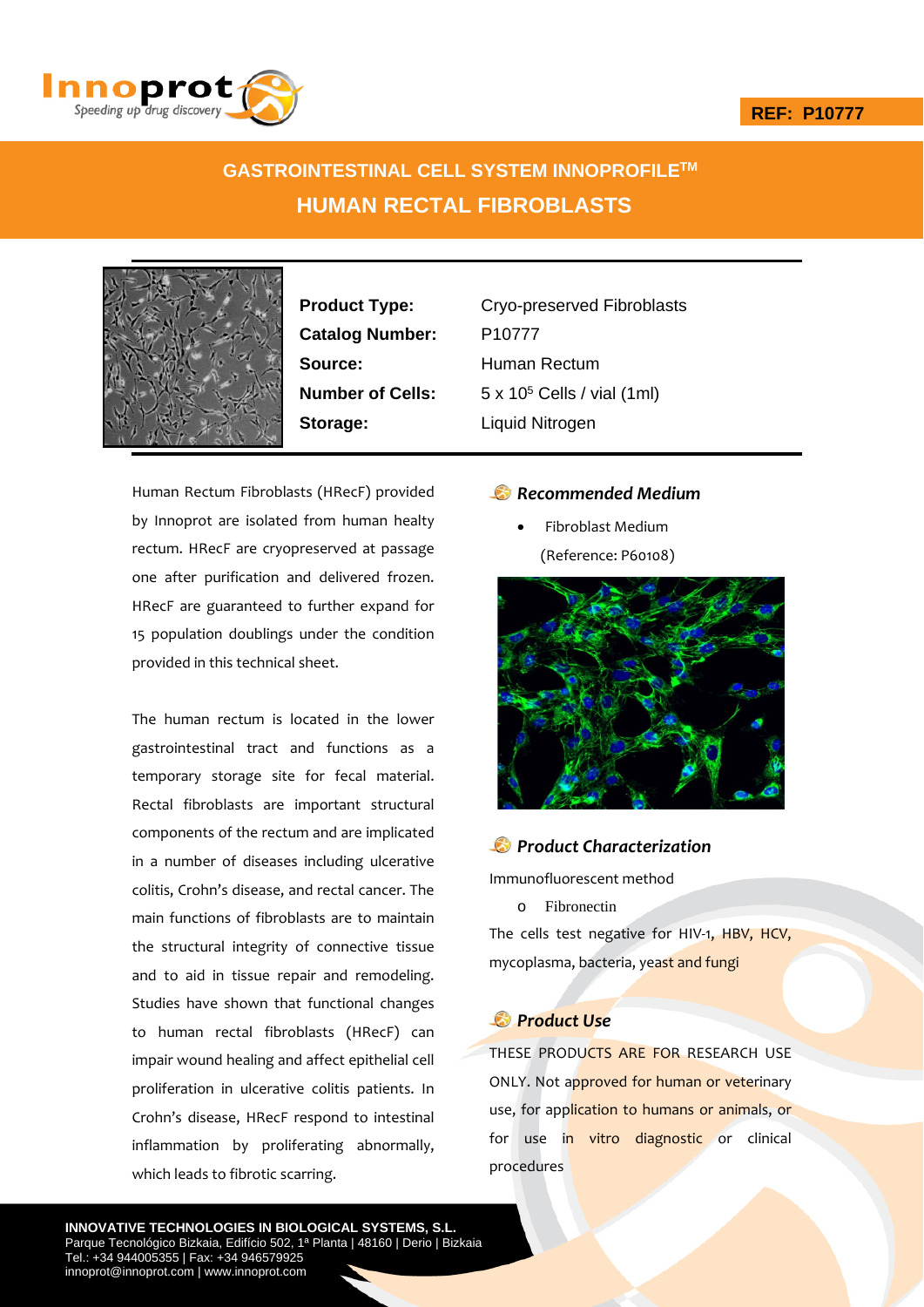## **REF: P10777**



# **GASTROINTESTINAL CELL SYSTEM INNOPROFILETM HUMAN RECTAL FIBROBLASTS**



Catalog Number: P10777 **Source:** Human Rectum **Storage:** Liquid Nitrogen

**Product Type:** Cryo-preserved Fibroblasts **Number of Cells:** 5 x 10<sup>5</sup> Cells / vial (1ml)

Human Rectum Fibroblasts (HRecF) provided by Innoprot are isolated from human healty rectum. HRecF are cryopreserved at passage one after purification and delivered frozen. HRecF are guaranteed to further expand for 15 population doublings under the condition provided in this technical sheet.

The human rectum is located in the lower gastrointestinal tract and functions as a temporary storage site for fecal material. Rectal fibroblasts are important structural components of the rectum and are implicated in a number of diseases including ulcerative colitis, Crohn's disease, and rectal cancer. The main functions of fibroblasts are to maintain the structural integrity of connective tissue and to aid in tissue repair and remodeling. Studies have shown that functional changes to human rectal fibroblasts (HRecF) can impair wound healing and affect epithelial cell proliferation in ulcerative colitis patients. In Crohn's disease, HRecF respond to intestinal inflammation by proliferating abnormally, which leads to fibrotic scarring.

## *Recommended Medium*

 Fibroblast Medium (Reference: P60108)



## *Product Characterization*

Immunofluorescent method

o Fibronectin

The cells test negative for HIV-1, HBV, HCV, mycoplasma, bacteria, yeast and fungi

# *Product Use*

THESE PRODUCTS ARE FOR RESEARCH USE ONLY. Not approved for human or veterinary use, for application to humans or animals, or for use in vitro diagnostic or clinical procedures

**INNOVATIVE TECHNOLOGIES IN BIOLOGICAL SYSTEMS, S.L.** Parque Tecnológico Bizkaia, Edifício 502, 1ª Planta | 48160 | Derio | Bizkaia Tel.: +34 944005355 | Fax: +34 946579925 innoprot@innoprot.com | www.innoprot.com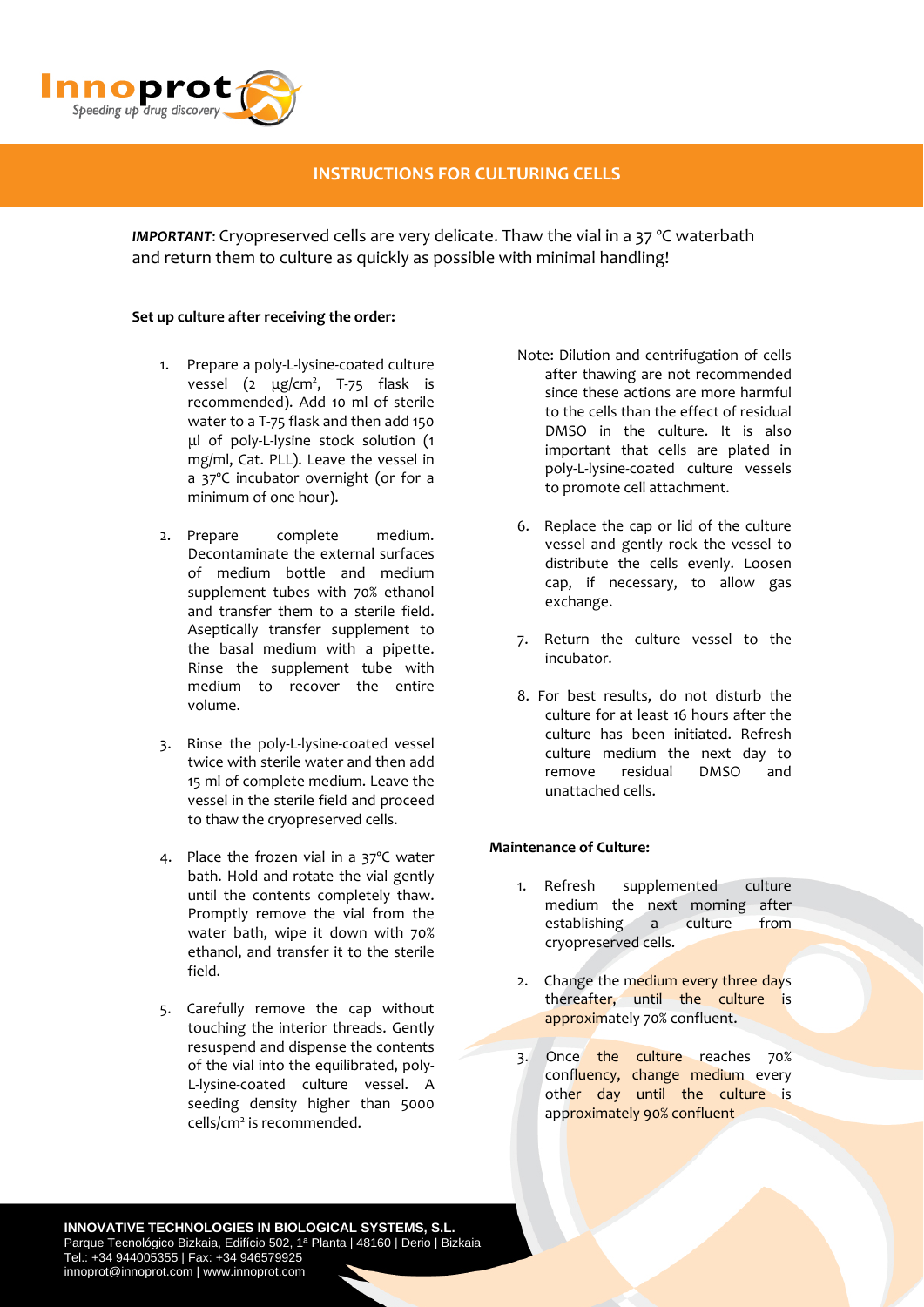

# **INSTRUCTIONS FOR CULTURING CELLS**

*IMPORTANT*: Cryopreserved cells are very delicate. Thaw the vial in a 37 ºC waterbath and return them to culture as quickly as possible with minimal handling!

#### **Set up culture after receiving the order:**

- 1. Prepare a poly‐L‐lysine‐coated culture vessel (2 μg/cm<sup>2</sup>, T-75 flask is recommended). Add 10 ml of sterile water to a T‐75 flask and then add 150 μl of poly‐L‐lysine stock solution (1 mg/ml, Cat. PLL). Leave the vessel in a 37ºC incubator overnight (or for a minimum of one hour).
- 2. Prepare complete medium. Decontaminate the external surfaces of medium bottle and medium supplement tubes with 70% ethanol and transfer them to a sterile field. Aseptically transfer supplement to the basal medium with a pipette. Rinse the supplement tube with medium to recover the entire volume.
- 3. Rinse the poly‐L‐lysine‐coated vessel twice with sterile water and then add 15 ml of complete medium. Leave the vessel in the sterile field and proceed to thaw the cryopreserved cells.
- 4. Place the frozen vial in a 37ºC water bath. Hold and rotate the vial gently until the contents completely thaw. Promptly remove the vial from the water bath, wipe it down with 70% ethanol, and transfer it to the sterile field.
- 5. Carefully remove the cap without touching the interior threads. Gently resuspend and dispense the contents of the vial into the equilibrated, poly‐ L‐lysine‐coated culture vessel. A seeding density higher than 5000 cells/cm<sup>2</sup> is recommended.
- Note: Dilution and centrifugation of cells after thawing are not recommended since these actions are more harmful to the cells than the effect of residual DMSO in the culture. It is also important that cells are plated in poly‐L‐lysine‐coated culture vessels to promote cell attachment.
- 6. Replace the cap or lid of the culture vessel and gently rock the vessel to distribute the cells evenly. Loosen cap, if necessary, to allow gas exchange.
- 7. Return the culture vessel to the incubator.
- 8. For best results, do not disturb the culture for at least 16 hours after the culture has been initiated. Refresh culture medium the next day to remove residual DMSO and unattached cells.

### **Maintenance of Culture:**

- 1. Refresh supplemented culture medium the next morning after establishing a culture from cryopreserved cells.
- 2. Change the medium every three days thereafter, until the culture is approximately 70% confluent.
- 3. Once the culture reaches 70% confluency, change medium every other day until the culture is approximately 90% confluent

**INNOVATIVE TECHNOLOGIES IN BIOLOGICAL SYSTEMS, S.L.** Parque Tecnológico Bizkaia, Edifício 502, 1ª Planta | 48160 | Derio | Bizkaia Tel.: +34 944005355 | Fax: +34 946579925 innoprot@innoprot.com | www.innoprot.com